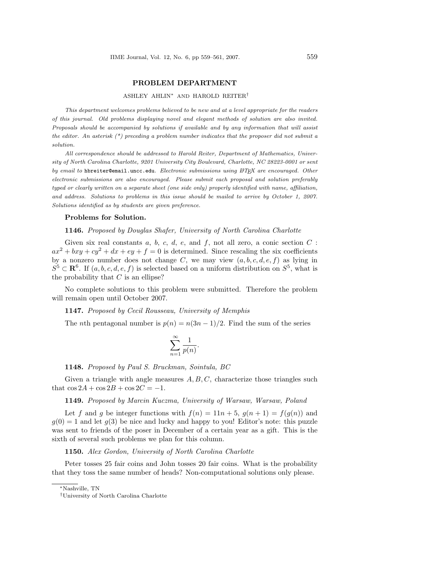# PROBLEM DEPARTMENT

# ASHLEY AHLIN<sup>∗</sup> AND HAROLD REITER†

This department welcomes problems believed to be new and at a level appropriate for the readers of this journal. Old problems displaying novel and elegant methods of solution are also invited. Proposals should be accompanied by solutions if available and by any information that will assist the editor. An asterisk  $(*)$  preceding a problem number indicates that the proposer did not submit a solution.

All correspondence should be addressed to Harold Reiter, Department of Mathematics, University of North Carolina Charlotte, 9201 University City Boulevard, Charlotte, NC 28223-0001 or sent by email to hbreiter@email.uncc.edu. Electronic submissions using  $\mathbb{A} T_F X$  are encouraged. Other electronic submissions are also encouraged. Please submit each proposal and solution preferably typed or clearly written on a separate sheet (one side only) properly identified with name, affiliation, and address. Solutions to problems in this issue should be mailed to arrive by October 1, 2007. Solutions identified as by students are given preference.

#### Problems for Solution.

# 1146. Proposed by Douglas Shafer, University of North Carolina Charlotte

Given six real constants a, b, c, d, e, and f, not all zero, a conic section  $C$ :  $ax^2 + bxy + cy^2 + dx + ey + f = 0$  is determined. Since rescaling the six coefficients by a nonzero number does not change C, we may view  $(a, b, c, d, e, f)$  as lying in  $S^5 \subset \mathbf{R}^6$ . If  $(a, b, c, d, e, f)$  is selected based on a uniform distribution on  $S^5$ , what is the probability that  $C$  is an ellipse?

No complete solutions to this problem were submitted. Therefore the problem will remain open until October 2007.

## 1147. Proposed by Cecil Rousseau, University of Memphis

The nth pentagonal number is  $p(n) = n(3n-1)/2$ . Find the sum of the series

.

$$
\sum_{n=1}^{\infty} \frac{1}{p(n)}
$$

1148. Proposed by Paul S. Bruckman, Sointula, BC

Given a triangle with angle measures  $A, B, C$ , characterize those triangles such that  $\cos 2A + \cos 2B + \cos 2C = -1$ .

## 1149. Proposed by Marcin Kuczma, University of Warsaw, Warsaw, Poland

Let f and g be integer functions with  $f(n) = 11n + 5$ ,  $g(n + 1) = f(g(n))$  and  $q(0) = 1$  and let  $q(3)$  be nice and lucky and happy to you! Editor's note: this puzzle was sent to friends of the poser in December of a certain year as a gift. This is the sixth of several such problems we plan for this column.

## 1150. Alex Gordon, University of North Carolina Charlotte

Peter tosses 25 fair coins and John tosses 20 fair coins. What is the probability that they toss the same number of heads? Non-computational solutions only please.

<sup>∗</sup>Nashville, TN

<sup>†</sup>University of North Carolina Charlotte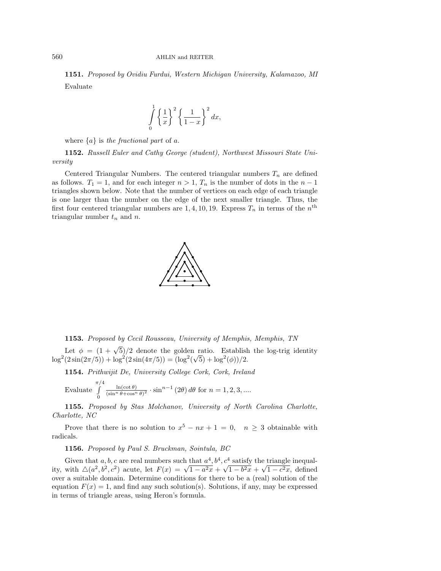#### 560 AHLIN and REITER

1151. Proposed by Ovidiu Furdui, Western Michigan University, Kalamazoo, MI Evaluate

$$
\int_{0}^{1} \left\{ \frac{1}{x} \right\}^{2} \left\{ \frac{1}{1-x} \right\}^{2} dx,
$$

where  ${a}$  is the fractional part of a.

1152. Russell Euler and Cathy George (student), Northwest Missouri State University

Centered Triangular Numbers. The centered triangular numbers  $T_n$  are defined as follows.  $T_1 = 1$ , and for each integer  $n > 1$ ,  $T_n$  is the number of dots in the  $n - 1$ triangles shown below. Note that the number of vertices on each edge of each triangle is one larger than the number on the edge of the next smaller triangle. Thus, the first four centered triangular numbers are 1, 4, 10, 19. Express  $T_n$  in terms of the  $n<sup>th</sup>$ triangular number  $t_n$  and  $n$ .



1153. Proposed by Cecil Rousseau, University of Memphis, Memphis, TN

Let  $\phi = (1 + \sqrt{5})/2$  denote the golden ratio. Establish the log-trig identity  $\log^2(2\sin(2\pi/5)) + \log^2(2\sin(4\pi/5)) = (\log^2($  $\sqrt{5}$  + log<sup>2</sup>( $\phi$ ))/2.

1154. Prithwijit De, University College Cork, Cork, Ireland

Evaluate 
$$
\int_{0}^{\pi/4} \frac{\ln(\cot \theta)}{(\sin^{n} \theta + \cos^{n} \theta)^{2}} \cdot \sin^{n-1} (2\theta) d\theta
$$
 for  $n = 1, 2, 3, ...$ 

1155. Proposed by Stas Molchanov, University of North Carolina Charlotte, Charlotte, NC

Prove that there is no solution to  $x^5 - nx + 1 = 0$ ,  $n \geq 3$  obtainable with radicals.

1156. Proposed by Paul S. Bruckman, Sointula, BC

Given that a, b, c are real numbers such that  $a^4$ ,  $b^4$ ,  $c^4$  satisfy the triangle inequal-Given that  $a, b, c$  are real numbers such that  $a^2$ ,  $b^2$ ,  $c^2$  satisfy the triangle inequality, with  $\Delta(a^2, b^2, c^2)$  acute, let  $F(x) = \sqrt{1 - a^2x} + \sqrt{1 - b^2x} + \sqrt{1 - c^2x}$ , defined over a suitable domain. Determine conditions for there to be a (real) solution of the equation  $F(x) = 1$ , and find any such solution(s). Solutions, if any, may be expressed in terms of triangle areas, using Heron's formula.